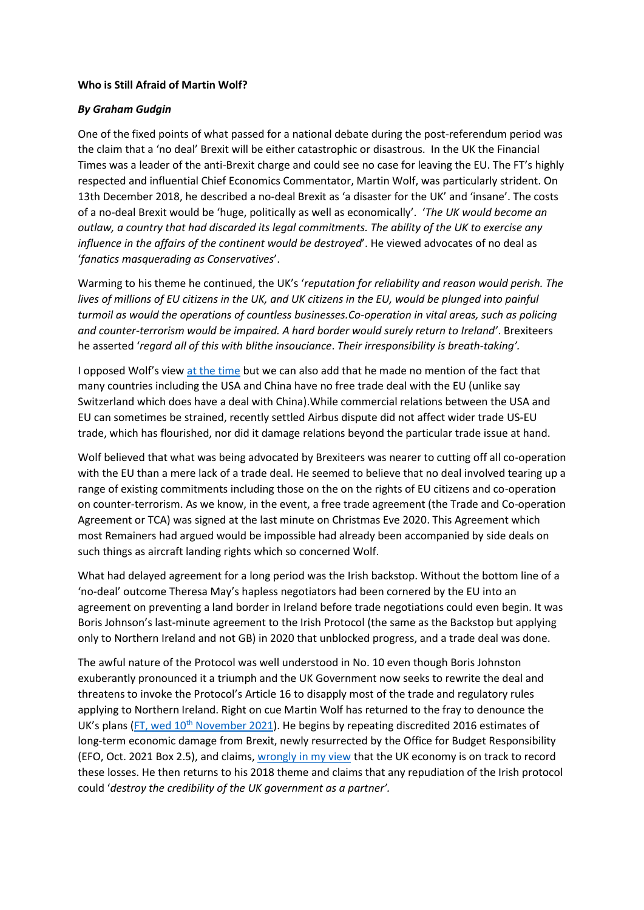## **Who is Still Afraid of Martin Wolf?**

## *By Graham Gudgin*

One of the fixed points of what passed for a national debate during the post-referendum period was the claim that a 'no deal' Brexit will be either catastrophic or disastrous. In the UK the Financial Times was a leader of the anti-Brexit charge and could see no case for leaving the EU. The FT's highly respected and influential Chief Economics Commentator, Martin Wolf, was particularly strident. On 13th December 2018, he described a no-deal Brexit as 'a disaster for the UK' and 'insane'. The costs of a no-deal Brexit would be 'huge, politically as well as economically'. '*The UK would become an outlaw, a country that had discarded its legal commitments. The ability of the UK to exercise any influence in the affairs of the continent would be destroyed*'. He viewed advocates of no deal as '*fanatics masquerading as Conservatives*'.

Warming to his theme he continued, the UK's '*reputation for reliability and reason would perish. The lives of millions of EU citizens in the UK, and UK citizens in the EU, would be plunged into painful turmoil as would the operations of countless businesses.Co-operation in vital areas, such as policing and counter-terrorism would be impaired. A hard border would surely return to Ireland'*. Brexiteers he asserted '*regard all of this with blithe insouciance*. *Their irresponsibility is breath-taking'.*

I opposed Wolf's view [at the time](https://www.briefingsforbritain.co.uk/whos-afraid-of-martin-wolf/) but we can also add that he made no mention of the fact that many countries including the USA and China have no free trade deal with the EU (unlike say Switzerland which does have a deal with China).While commercial relations between the USA and EU can sometimes be strained, recently settled Airbus dispute did not affect wider trade US-EU trade, which has flourished, nor did it damage relations beyond the particular trade issue at hand.

Wolf believed that what was being advocated by Brexiteers was nearer to cutting off all co-operation with the EU than a mere lack of a trade deal. He seemed to believe that no deal involved tearing up a range of existing commitments including those on the on the rights of EU citizens and co-operation on counter-terrorism. As we know, in the event, a free trade agreement (the Trade and Co-operation Agreement or TCA) was signed at the last minute on Christmas Eve 2020. This Agreement which most Remainers had argued would be impossible had already been accompanied by side deals on such things as aircraft landing rights which so concerned Wolf.

What had delayed agreement for a long period was the Irish backstop. Without the bottom line of a 'no-deal' outcome Theresa May's hapless negotiators had been cornered by the EU into an agreement on preventing a land border in Ireland before trade negotiations could even begin. It was Boris Johnson's last-minute agreement to the Irish Protocol (the same as the Backstop but applying only to Northern Ireland and not GB) in 2020 that unblocked progress, and a trade deal was done.

The awful nature of the Protocol was well understood in No. 10 even though Boris Johnston exuberantly pronounced it a triumph and the UK Government now seeks to rewrite the deal and threatens to invoke the Protocol's Article 16 to disapply most of the trade and regulatory rules applying to Northern Ireland. Right on cue Martin Wolf has returned to the fray to denounce the UK's plans (FT, wed  $10<sup>th</sup>$  [November 2021\)](https://www.ft.com/content/5aed7bce-d26b-471f-9789-1e345da4cec2). He begins by repeating discredited 2016 estimates of long-term economic damage from Brexit, newly resurrected by the Office for Budget Responsibility (EFO, Oct. 2021 Box 2.5), and claims, [wrongly in my view](https://www.briefingsforbritain.co.uk/whats-happening-to-uk-irish-trade-revisited/) that the UK economy is on track to record these losses. He then returns to his 2018 theme and claims that any repudiation of the Irish protocol could '*destroy the credibility of the UK government as a partner'.*